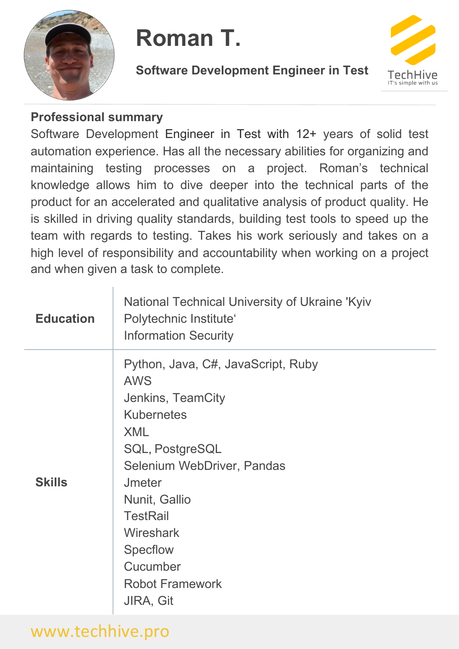

#### **Roman T.**

**Software Development Engineer in Test**



#### **Professional summary**

Software Development Engineer in Test with 12+ years of solid test automation experience. Has all the necessary abilities for organizing and maintaining testing processes on a project. Roman's technical knowledge allows him to dive deeper into the technical parts of the product for an accelerated and qualitative analysis of product quality. He is skilled in driving quality standards, building test tools to speed up the team with regards to testing. Takes his work seriously and takes on a high level of responsibility and accountability when working on a project and when given a task to complete.

| <b>Education</b> | National Technical University of Ukraine 'Kyiv<br>Polytechnic Institute'<br><b>Information Security</b>                                                                                                                                                                                                         |
|------------------|-----------------------------------------------------------------------------------------------------------------------------------------------------------------------------------------------------------------------------------------------------------------------------------------------------------------|
| <b>Skills</b>    | Python, Java, C#, JavaScript, Ruby<br><b>AWS</b><br>Jenkins, TeamCity<br><b>Kubernetes</b><br><b>XML</b><br><b>SQL, PostgreSQL</b><br>Selenium WebDriver, Pandas<br>Jmeter<br>Nunit, Gallio<br><b>TestRail</b><br><b>Wireshark</b><br><b>Specflow</b><br>Cucumber<br><b>Robot Framework</b><br><b>JIRA, Git</b> |

### www.techhive.pro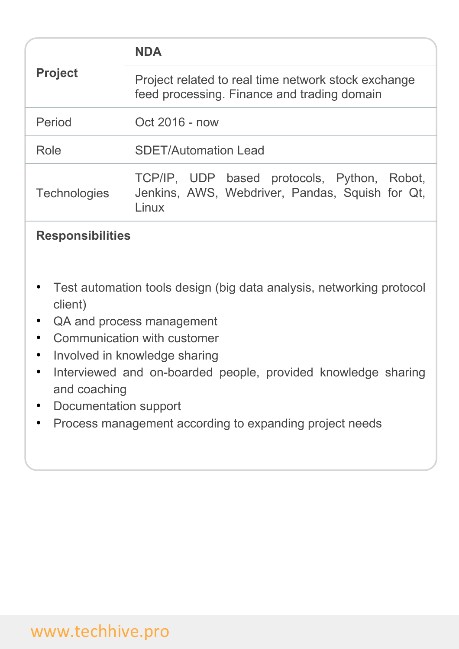| <b>Project</b>      | <b>NDA</b>                                                                                              |
|---------------------|---------------------------------------------------------------------------------------------------------|
|                     | Project related to real time network stock exchange<br>feed processing. Finance and trading domain      |
| Period              | Oct 2016 - now                                                                                          |
| Role                | <b>SDET/Automation Lead</b>                                                                             |
| <b>Technologies</b> | TCP/IP, UDP based protocols, Python, Robot,<br>Jenkins, AWS, Webdriver, Pandas, Squish for Qt,<br>Linux |

### **Responsibilities**

- Test automation tools design (big data analysis, networking protocol client)
- QA and process management
- Communication with customer
- Involved in knowledge sharing
- Interviewed and on-boarded people, provided knowledge sharing and coaching
- Documentation support
- Process management according to expanding project needs

## www.techhive.pro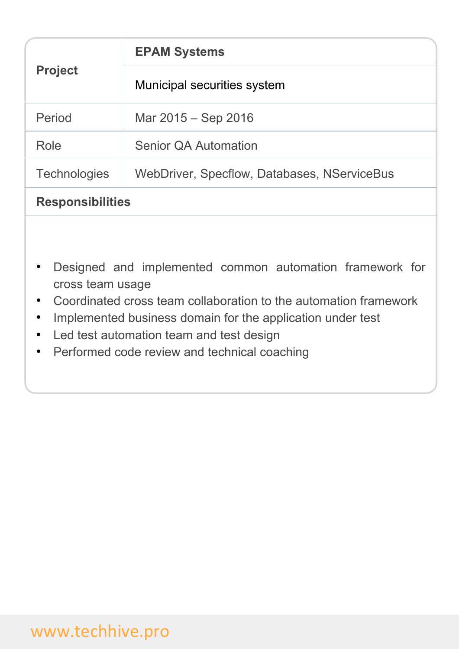| <b>Project</b>          | <b>EPAM Systems</b>                         |
|-------------------------|---------------------------------------------|
|                         | Municipal securities system                 |
| Period                  | Mar 2015 – Sep 2016                         |
| Role                    | <b>Senior QA Automation</b>                 |
| <b>Technologies</b>     | WebDriver, Specflow, Databases, NServiceBus |
| <b>Responsibilities</b> |                                             |

- Designed and implemented common automation framework for cross team usage
- Coordinated cross team collaboration to the automation framework
- Implemented business domain for the application under test
- Led test automation team and test design
- Performed code review and technical coaching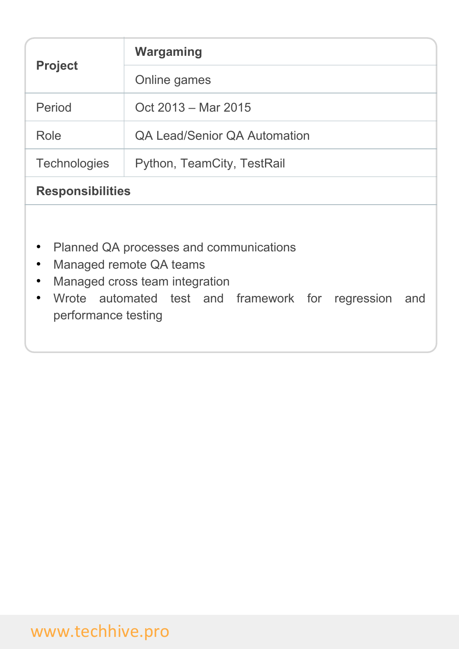| <b>Project</b>                                | Wargaming                                                                                                                                                        |
|-----------------------------------------------|------------------------------------------------------------------------------------------------------------------------------------------------------------------|
|                                               | Online games                                                                                                                                                     |
| Period                                        | Oct 2013 – Mar 2015                                                                                                                                              |
| Role                                          | <b>QA Lead/Senior QA Automation</b>                                                                                                                              |
| <b>Technologies</b>                           | Python, TeamCity, TestRail                                                                                                                                       |
| <b>Responsibilities</b>                       |                                                                                                                                                                  |
| $\bullet$<br>$\bullet$<br>performance testing | Planned QA processes and communications<br>Managed remote QA teams<br>Managed cross team integration<br>Wrote automated test and framework for regression<br>and |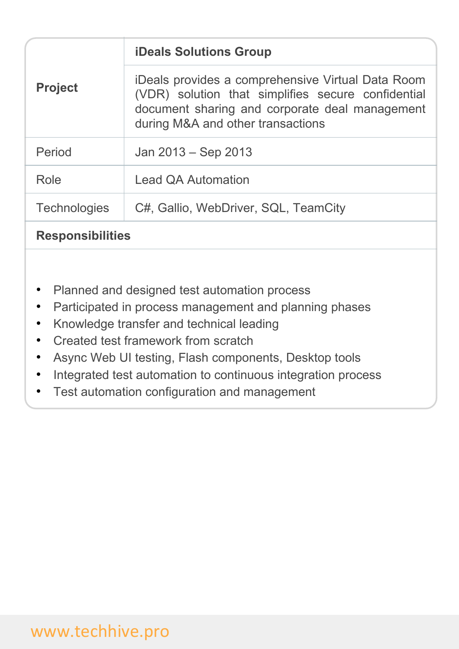| <b>Project</b>      | <b>iDeals Solutions Group</b>                                                                                                                                                                  |
|---------------------|------------------------------------------------------------------------------------------------------------------------------------------------------------------------------------------------|
|                     | iDeals provides a comprehensive Virtual Data Room<br>(VDR) solution that simplifies secure confidential<br>document sharing and corporate deal management<br>during M&A and other transactions |
| Period              | Jan 2013 – Sep 2013                                                                                                                                                                            |
| Role                | <b>Lead QA Automation</b>                                                                                                                                                                      |
| <b>Technologies</b> | C#, Gallio, WebDriver, SQL, TeamCity                                                                                                                                                           |
|                     |                                                                                                                                                                                                |

### **Responsibilities**

- Planned and designed test automation process
- Participated in process management and planning phases
- Knowledge transfer and technical leading
- Created test framework from scratch
- Async Web UI testing, Flash components, Desktop tools
- Integrated test automation to continuous integration process
- Test automation configuration and management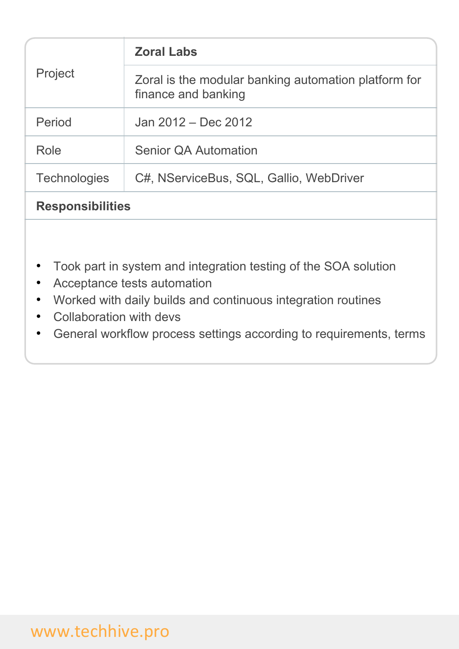| Project                 | <b>Zoral Labs</b>                                                           |
|-------------------------|-----------------------------------------------------------------------------|
|                         | Zoral is the modular banking automation platform for<br>finance and banking |
| Period                  | Jan 2012 – Dec 2012                                                         |
| Role                    | <b>Senior QA Automation</b>                                                 |
| <b>Technologies</b>     | C#, NServiceBus, SQL, Gallio, WebDriver                                     |
| <b>Responsibilities</b> |                                                                             |

- Took part in system and integration testing of the SOA solution
- Acceptance tests automation
- Worked with daily builds and continuous integration routines
- Collaboration with devs
- General workflow process settings according to requirements, terms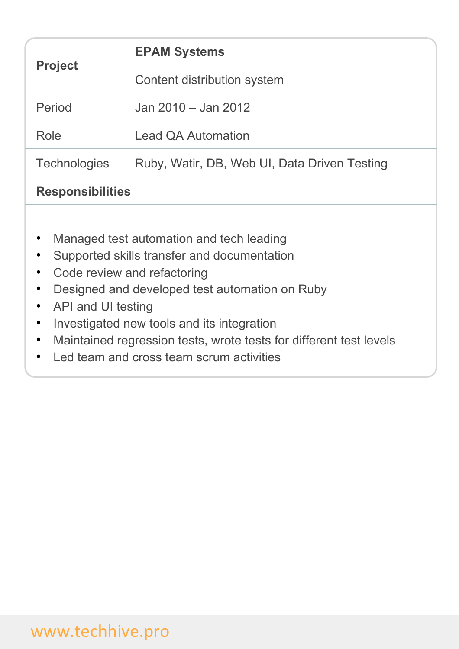| <b>Project</b>          | <b>EPAM Systems</b>                          |
|-------------------------|----------------------------------------------|
|                         | Content distribution system                  |
| Period                  | Jan 2010 – Jan 2012                          |
| Role                    | <b>Lead QA Automation</b>                    |
| <b>Technologies</b>     | Ruby, Watir, DB, Web UI, Data Driven Testing |
| <b>Responsibilities</b> |                                              |

- Managed test automation and tech leading
- Supported skills transfer and documentation
- Code review and refactoring
- Designed and developed test automation on Ruby
- API and UI testing
- Investigated new tools and its integration
- Maintained regression tests, wrote tests for different test levels
- Led team and cross team scrum activities

# www.techhive.pro